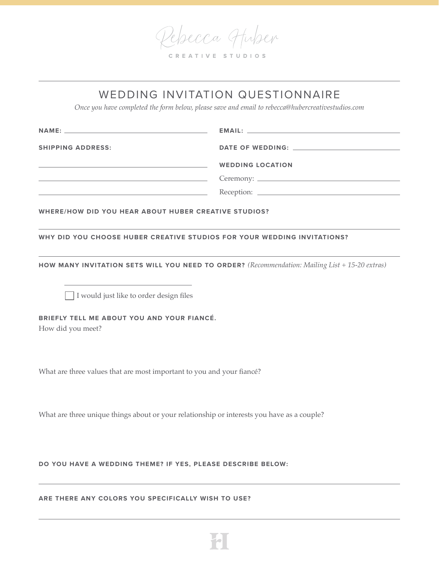Pelsecca Huber

| CREATIVE STUDIOS |  |  |  |  |  |  |  |  |  |  |  |  |  |  |  |
|------------------|--|--|--|--|--|--|--|--|--|--|--|--|--|--|--|
|------------------|--|--|--|--|--|--|--|--|--|--|--|--|--|--|--|

## WEDDING INVITATION QUESTIONNAIRE

*Once you have completed the form below, please save and email to rebecca@hubercreativestudios.com*

| <b>WEDDING LOCATION</b> |
|-------------------------|
|                         |
|                         |
|                         |

**WHERE/HOW DID YOU HEAR ABOUT HUBER CREATIVE STUDIOS?**

**WHY DID YOU CHOOSE HUBER CREATIVE STUDIOS FOR YOUR WEDDING INVITATIONS?**

**HOW MANY INVITATION SETS WILL YOU NEED TO ORDER?** *(Recommendation: Mailing List + 15-20 extras)*

□ I would just like to order design files

**BRIEFLY TELL ME ABOUT YOU AND YOUR FIANCÉ.**  How did you meet?

What are three values that are most important to you and your fiancé?

What are three unique things about or your relationship or interests you have as a couple?

**DO YOU HAVE A WEDDING THEME? IF YES, PLEASE DESCRIBE BELOW:**

**ARE THERE ANY COLORS YOU SPECIFICALLY WISH TO USE?**